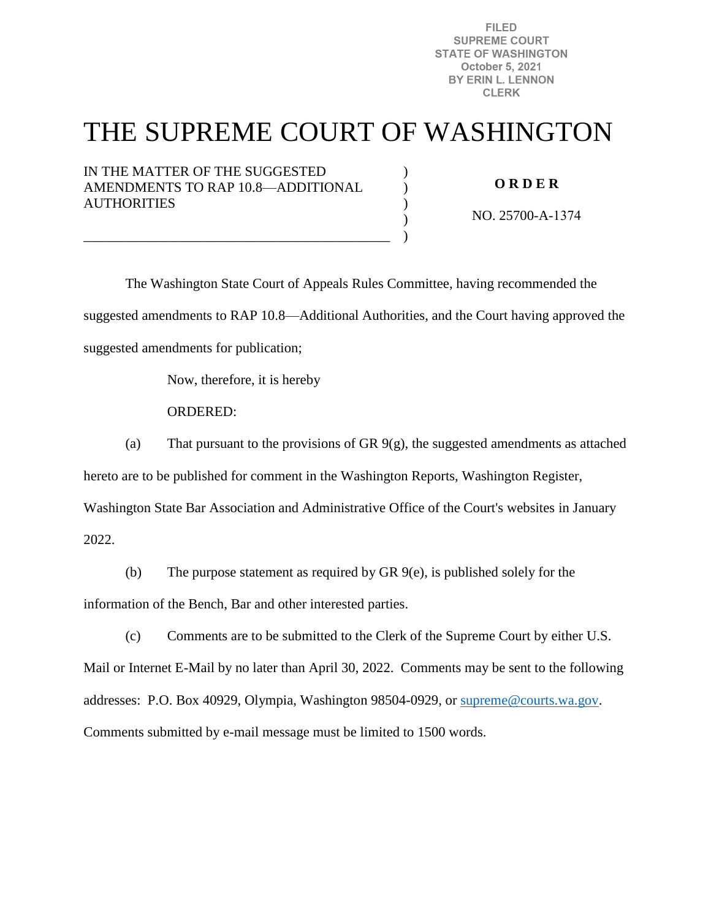**FILED SUPREME COURT STATE OF WASHINGTON** October 5, 2021 BY ERIN L. LENNON **CLERK** 

# THE SUPREME COURT OF WASHINGTON

)  $\lambda$ )  $\mathcal{L}$ )

IN THE MATTER OF THE SUGGESTED AMENDMENTS TO RAP 10.8—ADDITIONAL **AUTHORITIES** 

\_\_\_\_\_\_\_\_\_\_\_\_\_\_\_\_\_\_\_\_\_\_\_\_\_\_\_\_\_\_\_\_\_\_\_\_\_\_\_\_\_\_\_\_

**O R D E R** 

NO. 25700-A-1374

 The Washington State Court of Appeals Rules Committee, having recommended the suggested amendments to RAP 10.8—Additional Authorities, and the Court having approved the suggested amendments for publication;

Now, therefore, it is hereby

ORDERED:

(a) That pursuant to the provisions of GR  $9(g)$ , the suggested amendments as attached

hereto are to be published for comment in the Washington Reports, Washington Register,

Washington State Bar Association and Administrative Office of the Court's websites in January

2022.

(b) The purpose statement as required by GR 9(e), is published solely for the information of the Bench, Bar and other interested parties.

(c) Comments are to be submitted to the Clerk of the Supreme Court by either U.S. Mail or Internet E-Mail by no later than April 30, 2022. Comments may be sent to the following addresses: P.O. Box 40929, Olympia, Washington 98504-0929, or [supreme@courts.wa.gov.](mailto:supreme@courts.wa.gov) Comments submitted by e-mail message must be limited to 1500 words.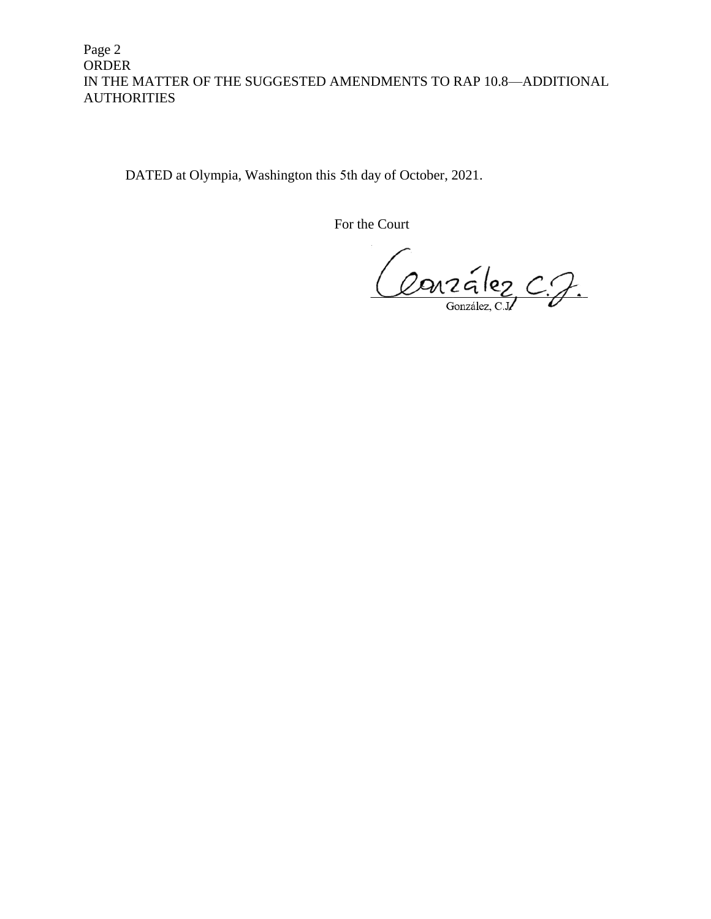Page 2 ORDER IN THE MATTER OF THE SUGGESTED AMENDMENTS TO RAP 10.8—ADDITIONAL **AUTHORITIES** 

DATED at Olympia, Washington this 5th day of October, 2021.

For the Court

Conzélez C.J.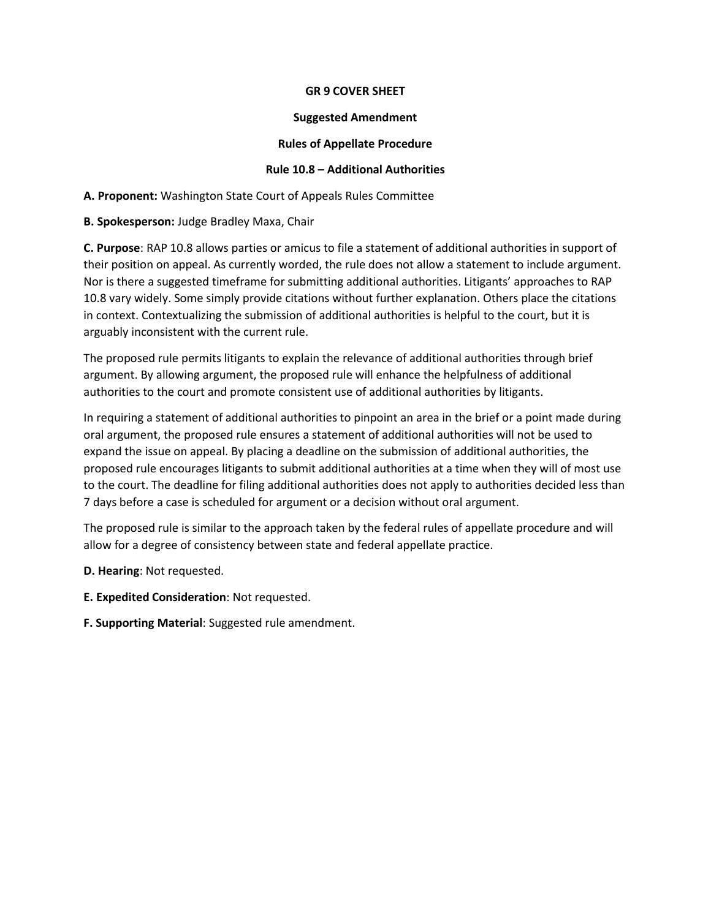#### **GR 9 COVER SHEET**

#### **Suggested Amendment**

## **Rules of Appellate Procedure**

## **Rule 10.8 – Additional Authorities**

**A. Proponent:** Washington State Court of Appeals Rules Committee

**B. Spokesperson:** Judge Bradley Maxa, Chair

**C. Purpose**: RAP 10.8 allows parties or amicus to file a statement of additional authorities in support of their position on appeal. As currently worded, the rule does not allow a statement to include argument. Nor is there a suggested timeframe for submitting additional authorities. Litigants' approaches to RAP 10.8 vary widely. Some simply provide citations without further explanation. Others place the citations in context. Contextualizing the submission of additional authorities is helpful to the court, but it is arguably inconsistent with the current rule.

The proposed rule permits litigants to explain the relevance of additional authorities through brief argument. By allowing argument, the proposed rule will enhance the helpfulness of additional authorities to the court and promote consistent use of additional authorities by litigants.

In requiring a statement of additional authorities to pinpoint an area in the brief or a point made during oral argument, the proposed rule ensures a statement of additional authorities will not be used to expand the issue on appeal. By placing a deadline on the submission of additional authorities, the proposed rule encourages litigants to submit additional authorities at a time when they will of most use to the court. The deadline for filing additional authorities does not apply to authorities decided less than 7 days before a case is scheduled for argument or a decision without oral argument.

The proposed rule is similar to the approach taken by the federal rules of appellate procedure and will allow for a degree of consistency between state and federal appellate practice.

- **D. Hearing**: Not requested.
- **E. Expedited Consideration**: Not requested.
- **F. Supporting Material**: Suggested rule amendment.